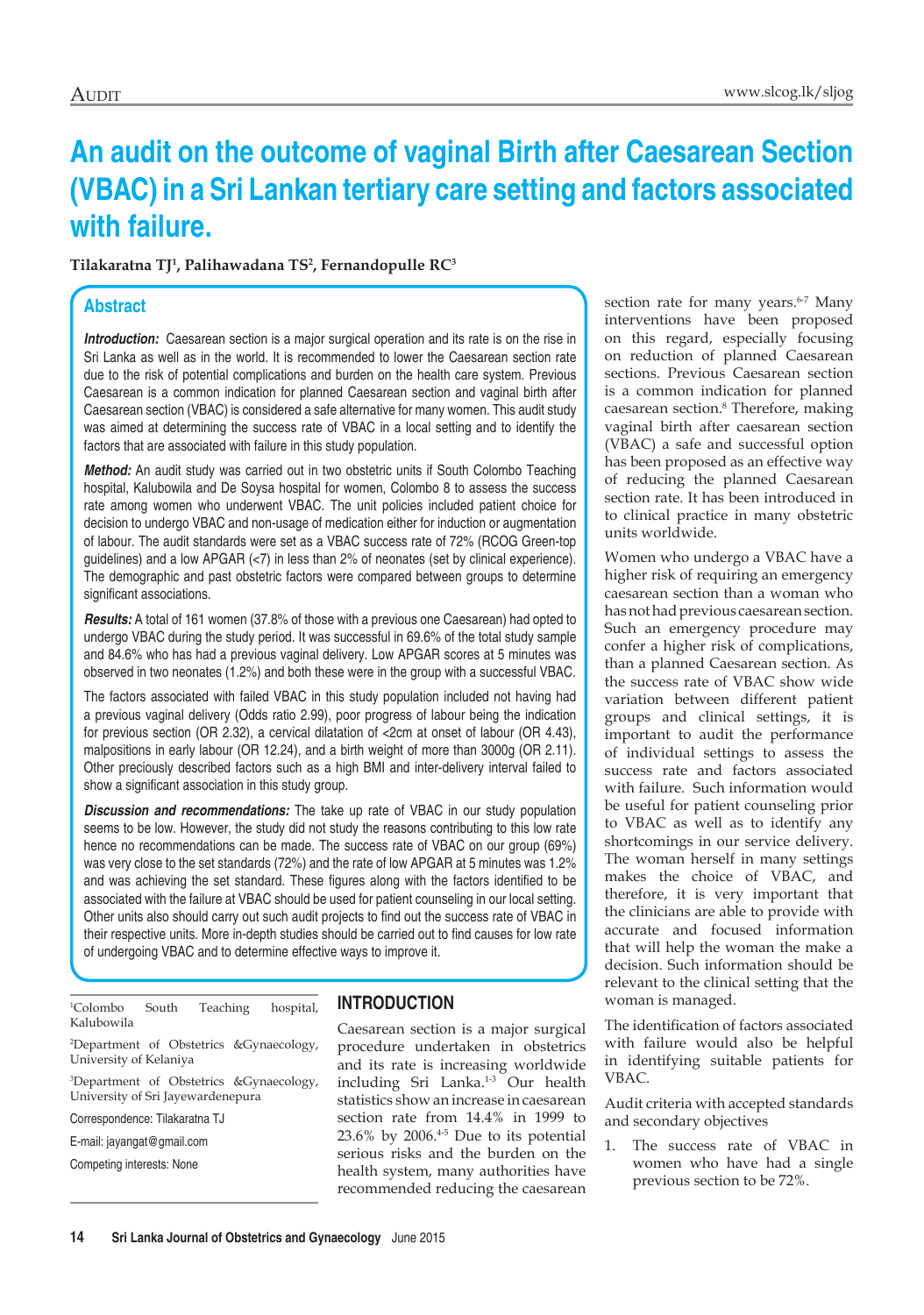# **An audit on the outcome of vaginal Birth after Caesarean Section (VBAC) in a Sri Lankan tertiary care setting and factors associated with failure.**

**Tilakaratna TJ1 , Palihawadana TS2 , Fernandopulle RC3**

# **Abstract**

**Introduction:** Caesarean section is a major surgical operation and its rate is on the rise in Sri Lanka as well as in the world. It is recommended to lower the Caesarean section rate due to the risk of potential complications and burden on the health care system. Previous Caesarean is a common indication for planned Caesarean section and vaginal birth after Caesarean section (VBAC) is considered a safe alternative for many women. This audit study was aimed at determining the success rate of VBAC in a local setting and to identify the factors that are associated with failure in this study population.

*Method:* An audit study was carried out in two obstetric units if South Colombo Teaching hospital, Kalubowila and De Soysa hospital for women, Colombo 8 to assess the success rate among women who underwent VBAC. The unit policies included patient choice for decision to undergo VBAC and non-usage of medication either for induction or augmentation of labour. The audit standards were set as a VBAC success rate of 72% (RCOG Green-top guidelines) and a low APGAR  $\langle$ <7) in less than 2% of neonates (set by clinical experience). The demographic and past obstetric factors were compared between groups to determine significant associations.

*Results:* A total of 161 women (37.8% of those with a previous one Caesarean) had opted to undergo VBAC during the study period. It was successful in 69.6% of the total study sample and 84.6% who has had a previous vaginal delivery. Low APGAR scores at 5 minutes was observed in two neonates (1.2%) and both these were in the group with a successful VBAC.

The factors associated with failed VBAC in this study population included not having had a previous vaginal delivery (Odds ratio 2.99), poor progress of labour being the indication for previous section (OR 2.32), a cervical dilatation of <2cm at onset of labour (OR 4.43), malpositions in early labour (OR 12.24), and a birth weight of more than 3000g (OR 2.11). Other preciously described factors such as a high BMI and inter-delivery interval failed to show a significant association in this study group.

*Discussion and recommendations:* The take up rate of VBAC in our study population seems to be low. However, the study did not study the reasons contributing to this low rate hence no recommendations can be made. The success rate of VBAC on our group (69%) was very close to the set standards (72%) and the rate of low APGAR at 5 minutes was 1.2% and was achieving the set standard. These figures along with the factors identified to be associated with the failure at VBAC should be used for patient counseling in our local setting. Other units also should carry out such audit projects to find out the success rate of VBAC in their respective units. More in-depth studies should be carried out to find causes for low rate of undergoing VBAC and to determine effective ways to improve it.

| <sup>1</sup> Colombo | South | Teaching | hospital, |  |
|----------------------|-------|----------|-----------|--|
| Kalubowila           |       |          |           |  |

2 Department of Obstetrics &Gynaecology, University of Kelaniya

3 Department of Obstetrics &Gynaecology, University of Sri Jayewardenepura

Correspondence: Tilakaratna TJ

E-mail: jayangat@gmail.com

Competing interests: None

# **INTRODUCTION**

Caesarean section is a major surgical procedure undertaken in obstetrics and its rate is increasing worldwide including Sri Lanka.<sup>1-3</sup> Our health statistics show an increase in caesarean section rate from 14.4% in 1999 to  $23.6\%$  by  $2006.<sup>4-5</sup>$  Due to its potential serious risks and the burden on the health system, many authorities have recommended reducing the caesarean

section rate for many years.<sup>6-7</sup> Many interventions have been proposed on this regard, especially focusing on reduction of planned Caesarean sections. Previous Caesarean section is a common indication for planned caesarean section.8 Therefore, making vaginal birth after caesarean section (VBAC) a safe and successful option has been proposed as an effective way of reducing the planned Caesarean section rate. It has been introduced in to clinical practice in many obstetric units worldwide.

Women who undergo a VBAC have a higher risk of requiring an emergency caesarean section than a woman who has not had previous caesarean section. Such an emergency procedure may confer a higher risk of complications, than a planned Caesarean section. As the success rate of VBAC show wide variation between different patient groups and clinical settings, it is important to audit the performance of individual settings to assess the success rate and factors associated with failure. Such information would be useful for patient counseling prior to VBAC as well as to identify any shortcomings in our service delivery. The woman herself in many settings makes the choice of VBAC, and therefore, it is very important that the clinicians are able to provide with accurate and focused information that will help the woman the make a decision. Such information should be relevant to the clinical setting that the woman is managed.

The identification of factors associated with failure would also be helpful in identifying suitable patients for VBAC.

Audit criteria with accepted standards and secondary objectives

1. The success rate of VBAC in women who have had a single previous section to be 72%.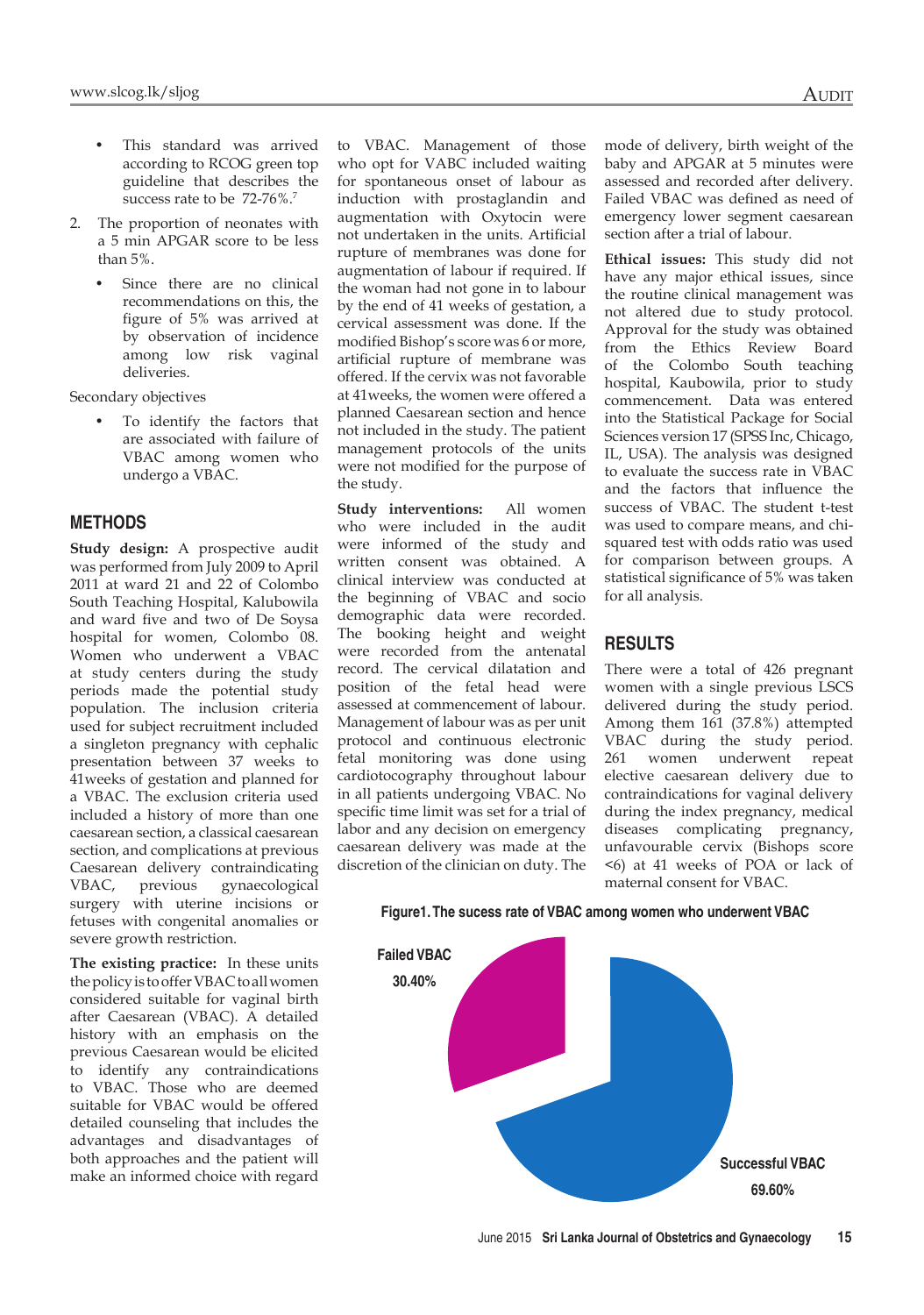- This standard was arrived according to RCOG green top guideline that describes the success rate to be 72-76%.<sup>7</sup>
- 2. The proportion of neonates with a 5 min APGAR score to be less than 5%.
	- Since there are no clinical recommendations on this, the figure of 5% was arrived at by observation of incidence among low risk vaginal deliveries.

Secondary objectives

To identify the factors that are associated with failure of VBAC among women who undergo a VBAC.

#### **METHODS**

**Study design:** A prospective audit was performed from July 2009 to April 2011 at ward 21 and 22 of Colombo South Teaching Hospital, Kalubowila and ward five and two of De Soysa hospital for women, Colombo 08. Women who underwent a VBAC at study centers during the study periods made the potential study population. The inclusion criteria used for subject recruitment included a singleton pregnancy with cephalic presentation between 37 weeks to 41weeks of gestation and planned for a VBAC. The exclusion criteria used included a history of more than one caesarean section, a classical caesarean section, and complications at previous Caesarean delivery contraindicating<br>VBAC, previous gynaecological VBAC, previous gynaecological surgery with uterine incisions or fetuses with congenital anomalies or severe growth restriction.

**The existing practice:** In these units the policy is to offer VBAC to all women considered suitable for vaginal birth after Caesarean (VBAC). A detailed history with an emphasis on the previous Caesarean would be elicited to identify any contraindications to VBAC. Those who are deemed suitable for VBAC would be offered detailed counseling that includes the advantages and disadvantages of both approaches and the patient will make an informed choice with regard

to VBAC. Management of those who opt for VABC included waiting for spontaneous onset of labour as induction with prostaglandin and augmentation with Oxytocin were not undertaken in the units. Artificial rupture of membranes was done for augmentation of labour if required. If the woman had not gone in to labour by the end of 41 weeks of gestation, a cervical assessment was done. If the modified Bishop's score was 6 or more, artificial rupture of membrane was offered. If the cervix was not favorable at 41weeks, the women were offered a planned Caesarean section and hence not included in the study. The patient management protocols of the units were not modified for the purpose of the study.

**Study interventions:** All women who were included in the audit were informed of the study and written consent was obtained. A clinical interview was conducted at the beginning of VBAC and socio demographic data were recorded. The booking height and weight were recorded from the antenatal record. The cervical dilatation and position of the fetal head were assessed at commencement of labour. Management of labour was as per unit protocol and continuous electronic fetal monitoring was done using cardiotocography throughout labour in all patients undergoing VBAC. No specific time limit was set for a trial of labor and any decision on emergency caesarean delivery was made at the discretion of the clinician on duty. The

mode of delivery, birth weight of the baby and APGAR at 5 minutes were assessed and recorded after delivery. Failed VBAC was defined as need of emergency lower segment caesarean section after a trial of labour.

**Ethical issues:** This study did not have any major ethical issues, since the routine clinical management was not altered due to study protocol. Approval for the study was obtained from the Ethics Review Board of the Colombo South teaching hospital, Kaubowila, prior to study commencement. Data was entered into the Statistical Package for Social Sciences version 17 (SPSS Inc, Chicago, IL, USA). The analysis was designed to evaluate the success rate in VBAC and the factors that influence the success of VBAC. The student t-test was used to compare means, and chisquared test with odds ratio was used for comparison between groups. A statistical significance of 5% was taken for all analysis.

### **RESULTS**

There were a total of 426 pregnant women with a single previous LSCS delivered during the study period. Among them 161 (37.8%) attempted VBAC during the study period. 261 women underwent repeat elective caesarean delivery due to contraindications for vaginal delivery during the index pregnancy, medical diseases complicating pregnancy, unfavourable cervix (Bishops score <6) at 41 weeks of POA or lack of maternal consent for VBAC.



#### **Figure1. The sucess rate of VBAC among women who underwent VBAC**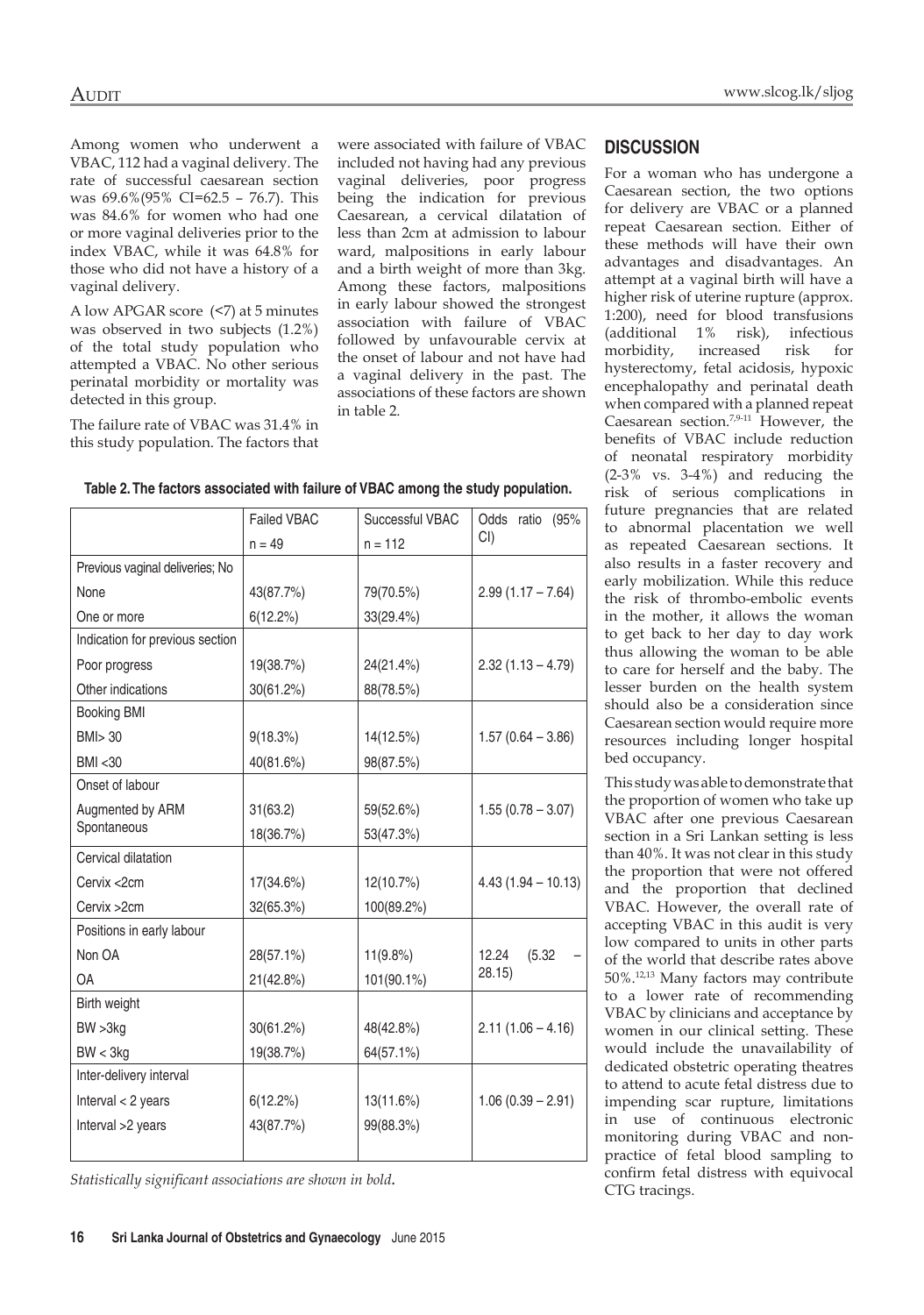Among women who underwent a VBAC, 112 had a vaginal delivery. The rate of successful caesarean section was 69.6%(95% CI=62.5 – 76.7). This was 84.6% for women who had one or more vaginal deliveries prior to the index VBAC, while it was 64.8% for those who did not have a history of a vaginal delivery.

A low APGAR score (<7) at 5 minutes was observed in two subjects (1.2%) of the total study population who attempted a VBAC. No other serious perinatal morbidity or mortality was detected in this group.

The failure rate of VBAC was 31.4% in this study population. The factors that were associated with failure of VBAC included not having had any previous vaginal deliveries, poor progress being the indication for previous Caesarean, a cervical dilatation of less than 2cm at admission to labour ward, malpositions in early labour and a birth weight of more than 3kg. Among these factors, malpositions in early labour showed the strongest association with failure of VBAC followed by unfavourable cervix at the onset of labour and not have had a vaginal delivery in the past. The associations of these factors are shown in table 2.

|                                 | <b>Failed VBAC</b> | Successful VBAC | Odds ratio<br>(95%   |
|---------------------------------|--------------------|-----------------|----------------------|
|                                 | $n = 49$           | $n = 112$       | $Cl$ )               |
| Previous vaginal deliveries; No |                    |                 |                      |
| None                            | 43(87.7%)          | 79(70.5%)       | $2.99(1.17 - 7.64)$  |
| One or more                     | 6(12.2%)           | 33(29.4%)       |                      |
| Indication for previous section |                    |                 |                      |
| Poor progress                   | 19(38.7%)          | 24(21.4%)       | $2.32(1.13 - 4.79)$  |
| Other indications               | 30(61.2%)          | 88(78.5%)       |                      |
| <b>Booking BMI</b>              |                    |                 |                      |
| BMI > 30                        | 9(18.3%)           | 14(12.5%)       | $1.57(0.64 - 3.86)$  |
| <b>BMI &lt;30</b>               | 40(81.6%)          | 98(87.5%)       |                      |
| Onset of labour                 |                    |                 |                      |
| Augmented by ARM                | 31(63.2)           | 59(52.6%)       | $1.55(0.78 - 3.07)$  |
| Spontaneous                     | 18(36.7%)          | 53(47.3%)       |                      |
| Cervical dilatation             |                    |                 |                      |
| Cervix <2cm                     | 17(34.6%)          | 12(10.7%)       | $4.43(1.94 - 10.13)$ |
| Cervix > 2cm                    | 32(65.3%)          | 100(89.2%)      |                      |
| Positions in early labour       |                    |                 |                      |
| Non OA                          | 28(57.1%)          | $11(9.8\%)$     | 12.24<br>(5.32)      |
| <b>OA</b>                       | 21(42.8%)          | 101(90.1%)      | 28.15)               |
| Birth weight                    |                    |                 |                      |
| BW > 3kg                        | 30(61.2%)          | 48(42.8%)       | $2.11(1.06 - 4.16)$  |
| BW < 3kg                        | 19(38.7%)          | 64(57.1%)       |                      |
| Inter-delivery interval         |                    |                 |                      |
| Interval $<$ 2 years            | $6(12.2\%)$        | 13(11.6%)       | $1.06(0.39 - 2.91)$  |
| Interval >2 years               | 43(87.7%)          | 99(88.3%)       |                      |
|                                 |                    |                 |                      |
|                                 |                    |                 |                      |

**Table 2. The factors associated with failure of VBAC among the study population.** 

*Statistically significant associations are shown in bold.* 

#### **DISCUSSION**

For a woman who has undergone a Caesarean section, the two options for delivery are VBAC or a planned repeat Caesarean section. Either of these methods will have their own advantages and disadvantages. An attempt at a vaginal birth will have a higher risk of uterine rupture (approx. 1:200), need for blood transfusions (additional 1% risk), infectious morbidity, increased risk for hysterectomy, fetal acidosis, hypoxic encephalopathy and perinatal death when compared with a planned repeat Caesarean section.7,9-11 However, the benefits of VBAC include reduction of neonatal respiratory morbidity (2-3% vs. 3-4%) and reducing the risk of serious complications in future pregnancies that are related to abnormal placentation we well as repeated Caesarean sections. It also results in a faster recovery and early mobilization. While this reduce the risk of thrombo-embolic events in the mother, it allows the woman to get back to her day to day work thus allowing the woman to be able to care for herself and the baby. The lesser burden on the health system should also be a consideration since Caesarean section would require more resources including longer hospital bed occupancy.

This study was able to demonstrate that the proportion of women who take up VBAC after one previous Caesarean section in a Sri Lankan setting is less than 40%. It was not clear in this study the proportion that were not offered and the proportion that declined VBAC. However, the overall rate of accepting VBAC in this audit is very low compared to units in other parts of the world that describe rates above 50%.12,13 Many factors may contribute to a lower rate of recommending VBAC by clinicians and acceptance by women in our clinical setting. These would include the unavailability of dedicated obstetric operating theatres to attend to acute fetal distress due to impending scar rupture, limitations in use of continuous electronic monitoring during VBAC and nonpractice of fetal blood sampling to confirm fetal distress with equivocal CTG tracings.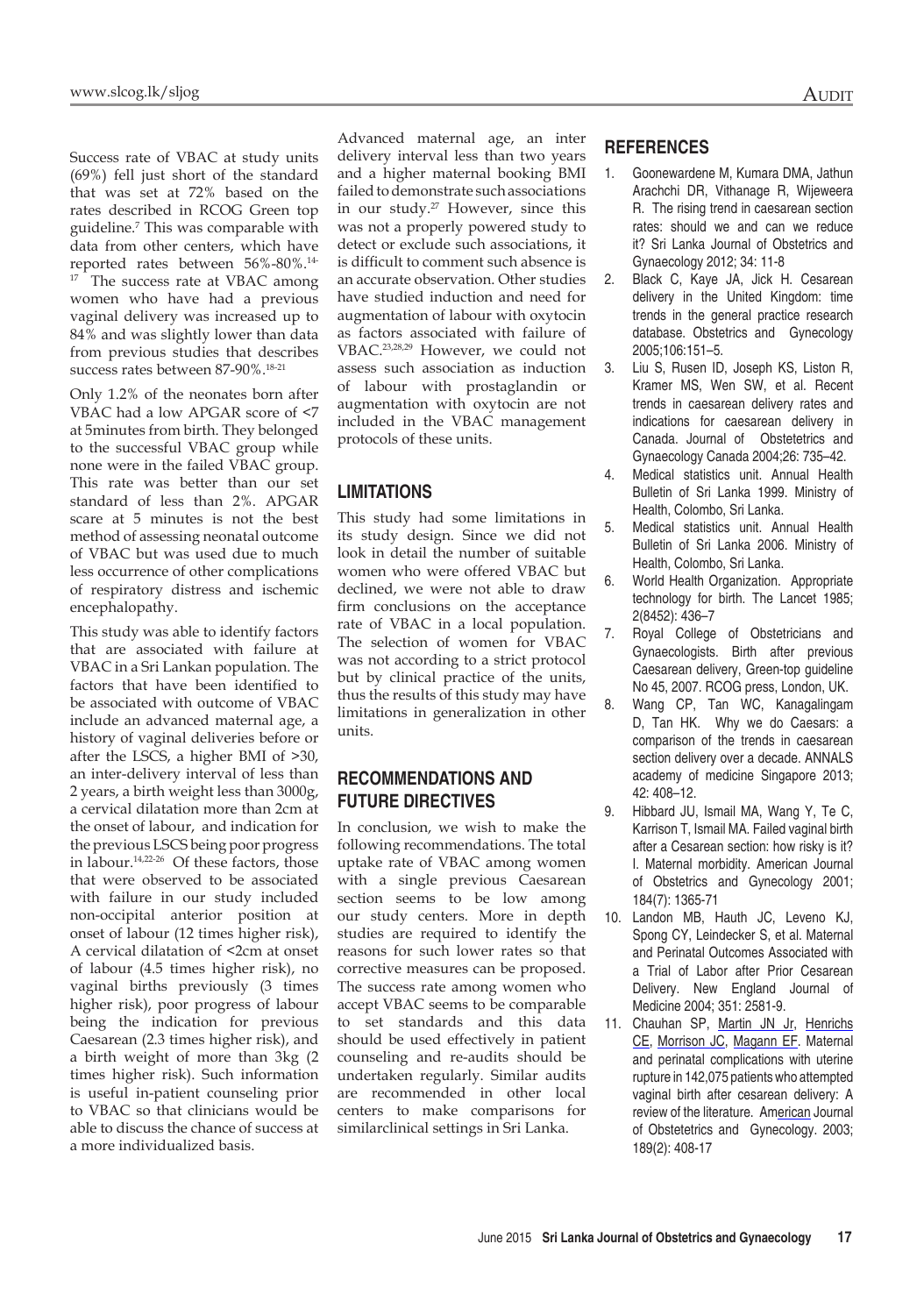Success rate of VBAC at study units (69%) fell just short of the standard that was set at 72% based on the rates described in RCOG Green top guideline.7 This was comparable with data from other centers, which have reported rates between 56%-80%.14- <sup>17</sup> The success rate at VBAC among women who have had a previous vaginal delivery was increased up to 84% and was slightly lower than data from previous studies that describes success rates between 87-90%.18-21

Only 1.2% of the neonates born after VBAC had a low APGAR score of <7 at 5minutes from birth. They belonged to the successful VBAC group while none were in the failed VBAC group. This rate was better than our set standard of less than 2%. APGAR scare at 5 minutes is not the best method of assessing neonatal outcome of VBAC but was used due to much less occurrence of other complications of respiratory distress and ischemic encephalopathy.

This study was able to identify factors that are associated with failure at VBAC in a Sri Lankan population. The factors that have been identified to be associated with outcome of VBAC include an advanced maternal age, a history of vaginal deliveries before or after the LSCS, a higher BMI of >30, an inter-delivery interval of less than 2 years, a birth weight less than 3000g, a cervical dilatation more than 2cm at the onset of labour, and indication for the previous LSCS being poor progress in labour.<sup>14,22-26</sup> Of these factors, those that were observed to be associated with failure in our study included non-occipital anterior position at onset of labour (12 times higher risk), A cervical dilatation of <2cm at onset of labour (4.5 times higher risk), no vaginal births previously (3 times higher risk), poor progress of labour being the indication for previous Caesarean (2.3 times higher risk), and a birth weight of more than 3kg (2 times higher risk). Such information is useful in-patient counseling prior to VBAC so that clinicians would be able to discuss the chance of success at a more individualized basis.

Advanced maternal age, an inter delivery interval less than two years and a higher maternal booking BMI failed to demonstrate such associations in our study.27 However, since this was not a properly powered study to detect or exclude such associations, it is difficult to comment such absence is an accurate observation. Other studies have studied induction and need for augmentation of labour with oxytocin as factors associated with failure of VBAC.23,28,29 However, we could not assess such association as induction of labour with prostaglandin or augmentation with oxytocin are not included in the VBAC management protocols of these units.

# **LIMITATIONS**

This study had some limitations in its study design. Since we did not look in detail the number of suitable women who were offered VBAC but declined, we were not able to draw firm conclusions on the acceptance rate of VBAC in a local population. The selection of women for VBAC was not according to a strict protocol but by clinical practice of the units, thus the results of this study may have limitations in generalization in other units.

# **RECOMMENDATIONS AND FUTURE DIRECTIVES**

In conclusion, we wish to make the following recommendations. The total uptake rate of VBAC among women with a single previous Caesarean section seems to be low among our study centers. More in depth studies are required to identify the reasons for such lower rates so that corrective measures can be proposed. The success rate among women who accept VBAC seems to be comparable to set standards and this data should be used effectively in patient counseling and re-audits should be undertaken regularly. Similar audits are recommended in other local centers to make comparisons for similarclinical settings in Sri Lanka.

## **REFERENCES**

- 1. Goonewardene M, Kumara DMA, Jathun Arachchi DR, Vithanage R, Wijeweera R. The rising trend in caesarean section rates: should we and can we reduce it? Sri Lanka Journal of Obstetrics and Gynaecology 2012; 34: 11-8
- 2. Black C, Kaye JA, Jick H. Cesarean delivery in the United Kingdom: time trends in the general practice research database. Obstetrics and Gynecology 2005;106:151–5.
- 3. Liu S, Rusen ID, Joseph KS, Liston R, Kramer MS, Wen SW, et al. Recent trends in caesarean delivery rates and indications for caesarean delivery in Canada. Journal of Obstetetrics and Gynaecology Canada 2004;26: 735–42.
- 4. Medical statistics unit. Annual Health Bulletin of Sri Lanka 1999. Ministry of Health, Colombo, Sri Lanka.
- 5. Medical statistics unit. Annual Health Bulletin of Sri Lanka 2006. Ministry of Health, Colombo, Sri Lanka.
- 6. World Health Organization. Appropriate technology for birth. The Lancet 1985; 2(8452): 436–7
- 7. Royal College of Obstetricians and Gynaecologists. Birth after previous Caesarean delivery, Green-top guideline No 45, 2007. RCOG press, London, UK.
- 8. Wang CP, Tan WC, Kanagalingam D, Tan HK. Why we do Caesars: a comparison of the trends in caesarean section delivery over a decade. ANNALS academy of medicine Singapore 2013; 42: 408–12.
- 9. Hibbard JU, Ismail MA, Wang Y, Te C, Karrison T, Ismail MA. Failed vaginal birth after a Cesarean section: how risky is it? I. Maternal morbidity. American Journal of Obstetrics and Gynecology 2001; 184(7): 1365-71
- 10. Landon MB, Hauth JC, Leveno KJ, Spong CY, Leindecker S, et al. Maternal and Perinatal Outcomes Associated with a Trial of Labor after Prior Cesarean Delivery. New England Journal of Medicine 2004; 351: 2581-9.
- 11. Chauhan SP, Martin JN Jr, Henrichs CE, Morrison JC, Magann EF. Maternal and perinatal complications with uterine rupture in 142,075 patients who attempted vaginal birth after cesarean delivery: A review of the literature. American Journal of Obstetetrics and Gynecology. 2003; 189(2): 408-17